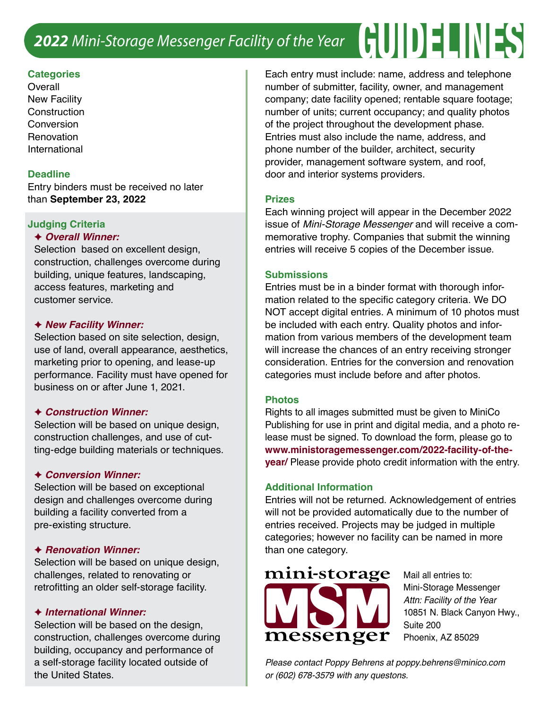# *2022 Mini-Storage Messenger Facility of the Year* GUIDELINES

## **Categories**

**Overall** New Facility **Construction Conversion Renovation** International

# **Deadline**

Entry binders must be received no later than **September 23, 2022**

## **Judging Criteria**

## F *Overall Winner:*

Selection based on excellent design, construction, challenges overcome during building, unique features, landscaping, access features, marketing and customer service.

## F *New Facility Winner:*

Selection based on site selection, design, use of land, overall appearance, aesthetics, marketing prior to opening, and lease-up performance. Facility must have opened for business on or after June 1, 2021.

#### F *Construction Winner:*

Selection will be based on unique design, construction challenges, and use of cutting-edge building materials or techniques.

#### F *Conversion Winner:*

Selection will be based on exceptional design and challenges overcome during building a facility converted from a pre-existing structure.

#### F *Renovation Winner:*

Selection will be based on unique design, challenges, related to renovating or retrofitting an older self-storage facility.

#### F *International Winner:*

Selection will be based on the design, construction, challenges overcome during building, occupancy and performance of a self-storage facility located outside of the United States.

Each entry must include: name, address and telephone number of submitter, facility, owner, and management company; date facility opened; rentable square footage; number of units; current occupancy; and quality photos of the project throughout the development phase. Entries must also include the name, address, and phone number of the builder, architect, security provider, management software system, and roof, door and interior systems providers.

## **Prizes**

Each winning project will appear in the December 2022 issue of *Mini-Storage Messenger* and will receive a commemorative trophy. Companies that submit the winning entries will receive 5 copies of the December issue.

## **Submissions**

Entries must be in a binder format with thorough information related to the specific category criteria. We DO NOT accept digital entries. A minimum of 10 photos must be included with each entry. Quality photos and information from various members of the development team will increase the chances of an entry receiving stronger consideration. Entries for the conversion and renovation categories must include before and after photos.

#### **Photos**

Rights to all images submitted must be given to MiniCo Publishing for use in print and digital media, and a photo release must be signed. To download the form, please go to **www.ministoragemessenger.com/2022-facility-of-theyear/** Please provide photo credit information with the entry.

#### **Additional Information**

Entries will not be returned. Acknowledgement of entries will not be provided automatically due to the number of entries received. Projects may be judged in multiple categories; however no facility can be named in more than one category.



Mail all entries to: Mini-Storage Messenger *Attn: Facility of the Year* 10851 N. Black Canyon Hwy., Suite 200 Phoenix, AZ 85029

*Please contact Poppy Behrens at poppy.behrens@minico.com or (602) 678-3579 with any questons.*